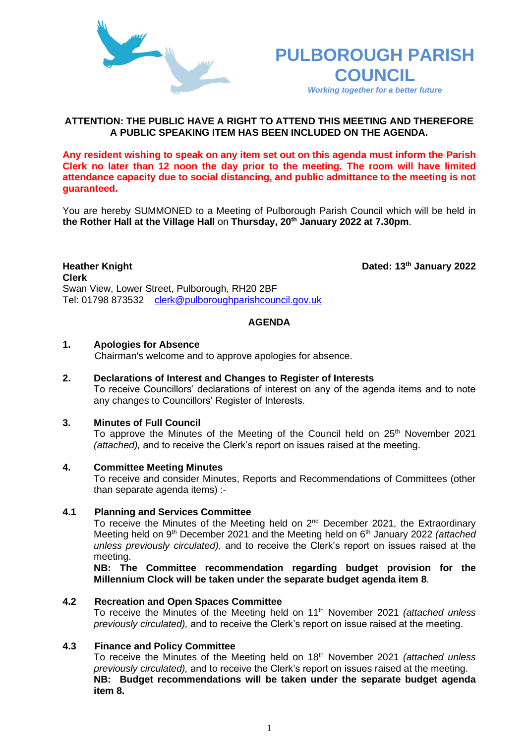

# **PULBOROUGH PARISH COUNCIL**

*Working together for a better future*

Dated: 13<sup>th</sup> January 2022

# **ATTENTION: THE PUBLIC HAVE A RIGHT TO ATTEND THIS MEETING AND THEREFORE A PUBLIC SPEAKING ITEM HAS BEEN INCLUDED ON THE AGENDA.**

**Any resident wishing to speak on any item set out on this agenda must inform the Parish Clerk no later than 12 noon the day prior to the meeting. The room will have limited attendance capacity due to social distancing, and public admittance to the meeting is not guaranteed.**

You are hereby SUMMONED to a Meeting of Pulborough Parish Council which will be held in **the Rother Hall at the Village Hall** on **Thursday, 20th January 2022 at 7.30pm**.

**Heather Knight Clerk**  Swan View, Lower Street, Pulborough, RH20 2BF Tel: 01798 873532 [clerk@pulboroughparishcouncil.gov.uk](mailto:clerk@pulboroughparishcouncil.gov.uk)

## **AGENDA**

### **1. Apologies for Absence**

Chairman's welcome and to approve apologies for absence.

# **2. Declarations of Interest and Changes to Register of Interests**

To receive Councillors' declarations of interest on any of the agenda items and to note any changes to Councillors' Register of Interests.

## **3. Minutes of Full Council**

To approve the Minutes of the Meeting of the Council held on  $25<sup>th</sup>$  November 2021 *(attached),* and to receive the Clerk's report on issues raised at the meeting.

### **4. Committee Meeting Minutes**

To receive and consider Minutes, Reports and Recommendations of Committees (other than separate agenda items) :-

## **4.1 Planning and Services Committee**

To receive the Minutes of the Meeting held on  $2<sup>nd</sup>$  December 2021, the Extraordinary Meeting held on 9th December 2021 and the Meeting held on 6th January 2022 *(attached unless previously circulated)*, and to receive the Clerk's report on issues raised at the meeting.

**NB: The Committee recommendation regarding budget provision for the Millennium Clock will be taken under the separate budget agenda item 8**.

### **4.2 Recreation and Open Spaces Committee**

To receive the Minutes of the Meeting held on 11th November 2021 *(attached unless previously circulated),* and to receive the Clerk's report on issue raised at the meeting.

### **4.3 Finance and Policy Committee**

To receive the Minutes of the Meeting held on 18th November 2021 *(attached unless previously circulated),* and to receive the Clerk's report on issues raised at the meeting. **NB: Budget recommendations will be taken under the separate budget agenda item 8.**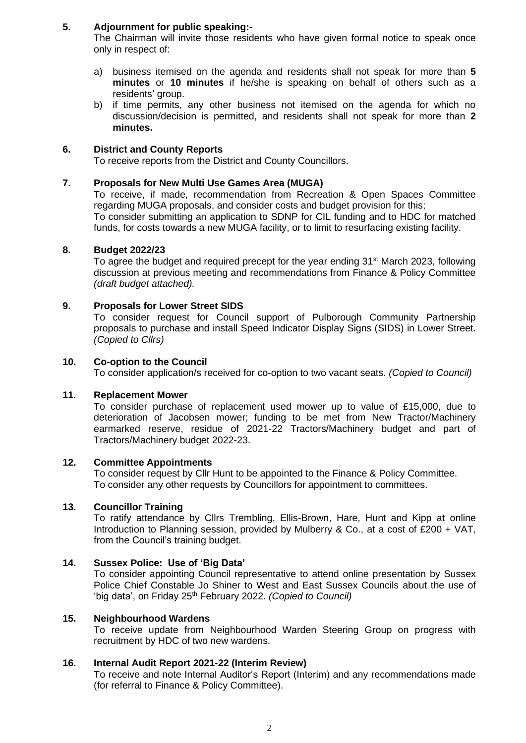# **5. Adjournment for public speaking:-**

The Chairman will invite those residents who have given formal notice to speak once only in respect of:

- a) business itemised on the agenda and residents shall not speak for more than **5 minutes** or **10 minutes** if he/she is speaking on behalf of others such as a residents' group.
- b) if time permits, any other business not itemised on the agenda for which no discussion/decision is permitted, and residents shall not speak for more than **2 minutes.**

# **6. District and County Reports**

To receive reports from the District and County Councillors.

# **7. Proposals for New Multi Use Games Area (MUGA)**

To receive, if made, recommendation from Recreation & Open Spaces Committee regarding MUGA proposals, and consider costs and budget provision for this; To consider submitting an application to SDNP for CIL funding and to HDC for matched funds, for costs towards a new MUGA facility, or to limit to resurfacing existing facility.

## **8. Budget 2022/23**

To agree the budget and required precept for the year ending 31<sup>st</sup> March 2023, following discussion at previous meeting and recommendations from Finance & Policy Committee *(draft budget attached).*

# **9. Proposals for Lower Street SIDS**

To consider request for Council support of Pulborough Community Partnership proposals to purchase and install Speed Indicator Display Signs (SIDS) in Lower Street. *(Copied to Cllrs)*

## **10. Co-option to the Council**

To consider application/s received for co-option to two vacant seats. *(Copied to Council)*

### **11. Replacement Mower**

To consider purchase of replacement used mower up to value of £15,000, due to deterioration of Jacobsen mower; funding to be met from New Tractor/Machinery earmarked reserve, residue of 2021-22 Tractors/Machinery budget and part of Tractors/Machinery budget 2022-23.

# **12. Committee Appointments**

To consider request by Cllr Hunt to be appointed to the Finance & Policy Committee. To consider any other requests by Councillors for appointment to committees.

# **13. Councillor Training**

To ratify attendance by Cllrs Trembling, Ellis-Brown, Hare, Hunt and Kipp at online Introduction to Planning session, provided by Mulberry & Co., at a cost of £200 + VAT, from the Council's training budget.

# **14. Sussex Police: Use of 'Big Data'**

To consider appointing Council representative to attend online presentation by Sussex Police Chief Constable Jo Shiner to West and East Sussex Councils about the use of 'big data', on Friday 25th February 2022. *(Copied to Council)*

## **15. Neighbourhood Wardens**

To receive update from Neighbourhood Warden Steering Group on progress with recruitment by HDC of two new wardens.

### **16. Internal Audit Report 2021-22 (Interim Review)**

To receive and note Internal Auditor's Report (Interim) and any recommendations made (for referral to Finance & Policy Committee).